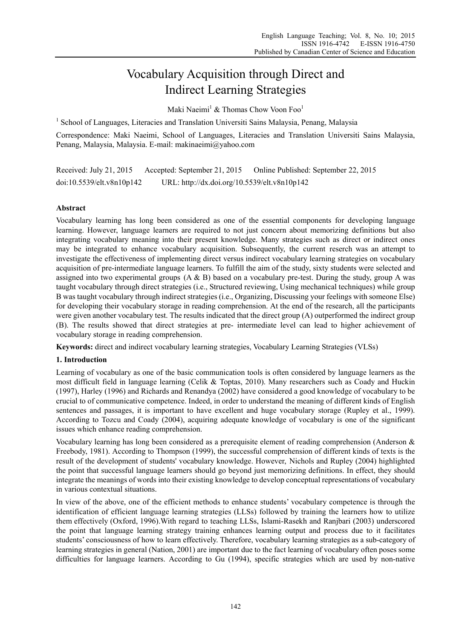# Vocabulary Acquisition through Direct and Indirect Learning Strategies

Maki Naeimi $^1$  & Thomas Chow Voon Foo $^1$ 

<sup>1</sup> School of Languages, Literacies and Translation Universiti Sains Malaysia, Penang, Malaysia

Correspondence: Maki Naeimi, School of Languages, Literacies and Translation Universiti Sains Malaysia, Penang, Malaysia, Malaysia. E-mail: makinaeimi@yahoo.com

Received: July 21, 2015 Accepted: September 21, 2015 Online Published: September 22, 2015 doi:10.5539/elt.v8n10p142 URL: http://dx.doi.org/10.5539/elt.v8n10p142

# **Abstract**

Vocabulary learning has long been considered as one of the essential components for developing language learning. However, language learners are required to not just concern about memorizing definitions but also integrating vocabulary meaning into their present knowledge. Many strategies such as direct or indirect ones may be integrated to enhance vocabulary acquisition. Subsequently, the current reserch was an attempt to investigate the effectiveness of implementing direct versus indirect vocabulary learning strategies on vocabulary acquisition of pre-intermediate language learners. To fulfill the aim of the study, sixty students were selected and assigned into two experimental groups (A & B) based on a vocabulary pre-test. During the study, group A was taught vocabulary through direct strategies (i.e., Structured reviewing, Using mechanical techniques) while group B was taught vocabulary through indirect strategies (i.e., Organizing, Discussing your feelings with someone Else) for developing their vocabulary storage in reading comprehension. At the end of the research, all the participants were given another vocabulary test. The results indicated that the direct group (A) outperformed the indirect group (B). The results showed that direct strategies at pre- intermediate level can lead to higher achievement of vocabulary storage in reading comprehension.

**Keywords:** direct and indirect vocabulary learning strategies, Vocabulary Learning Strategies (VLSs)

# **1. Introduction**

Learning of vocabulary as one of the basic communication tools is often considered by language learners as the most difficult field in language learning (Celik & Toptas, 2010). Many researchers such as Coady and Huckin (1997), Harley (1996) and Richards and Renandya (2002) have considered a good knowledge of vocabulary to be crucial to of communicative competence. Indeed, in order to understand the meaning of different kinds of English sentences and passages, it is important to have excellent and huge vocabulary storage (Rupley et al., 1999). According to Tozcu and Coady (2004), acquiring adequate knowledge of vocabulary is one of the significant issues which enhance reading comprehension.

Vocabulary learning has long been considered as a prerequisite element of reading comprehension (Anderson & Freebody, 1981). According to Thompson (1999), the successful comprehension of different kinds of texts is the result of the development of students' vocabulary knowledge. However, Nichols and Rupley (2004) highlighted the point that successful language learners should go beyond just memorizing definitions. In effect, they should integrate the meanings of words into their existing knowledge to develop conceptual representations of vocabulary in various contextual situations.

In view of the above, one of the efficient methods to enhance students' vocabulary competence is through the identification of efficient language learning strategies (LLSs) followed by training the learners how to utilize them effectively (Oxford, 1996).With regard to teaching LLSs, Islami-Rasekh and Ranjbari (2003) underscored the point that language learning strategy training enhances learning output and process due to it facilitates students' consciousness of how to learn effectively. Therefore, vocabulary learning strategies as a sub-category of learning strategies in general (Nation, 2001) are important due to the fact learning of vocabulary often poses some difficulties for language learners. According to Gu (1994), specific strategies which are used by non-native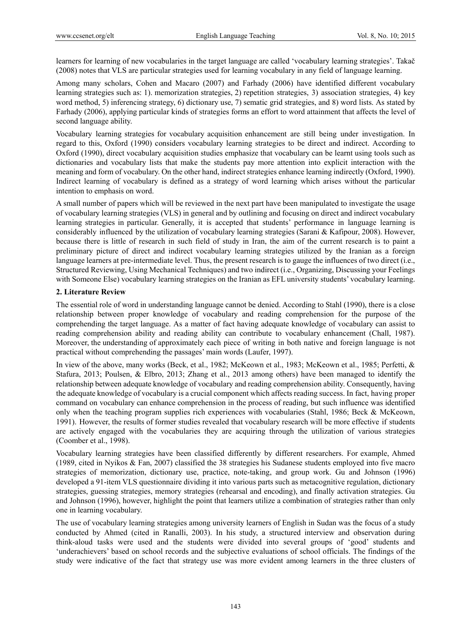learners for learning of new vocabularies in the target language are called 'vocabulary learning strategies'. Takač (2008) notes that VLS are particular strategies used for learning vocabulary in any field of language learning.

Among many scholars, Cohen and Macaro (2007) and Farhady (2006) have identified different vocabulary learning strategies such as: 1). memorization strategies, 2) repetition strategies, 3) association strategies, 4) key word method, 5) inferencing strategy, 6) dictionary use, 7) sematic grid strategies, and 8) word lists. As stated by Farhady (2006), applying particular kinds of strategies forms an effort to word attainment that affects the level of second language ability.

Vocabulary learning strategies for vocabulary acquisition enhancement are still being under investigation. In regard to this, Oxford (1990) considers vocabulary learning strategies to be direct and indirect. According to Oxford (1990), direct vocabulary acquisition studies emphasize that vocabulary can be learnt using tools such as dictionaries and vocabulary lists that make the students pay more attention into explicit interaction with the meaning and form of vocabulary. On the other hand, indirect strategies enhance learning indirectly (Oxford, 1990). Indirect learning of vocabulary is defined as a strategy of word learning which arises without the particular intention to emphasis on word.

A small number of papers which will be reviewed in the next part have been manipulated to investigate the usage of vocabulary learning strategies (VLS) in general and by outlining and focusing on direct and indirect vocabulary learning strategies in particular. Generally, it is accepted that students' performance in language learning is considerably influenced by the utilization of vocabulary learning strategies (Sarani & Kafipour, 2008). However, because there is little of research in such field of study in Iran, the aim of the current research is to paint a preliminary picture of direct and indirect vocabulary learning strategies utilized by the Iranian as a foreign language learners at pre-intermediate level. Thus, the present research is to gauge the influences of two direct (i.e., Structured Reviewing, Using Mechanical Techniques) and two indirect (i.e., Organizing, Discussing your Feelings with Someone Else) vocabulary learning strategies on the Iranian as EFL university students' vocabulary learning.

# **2. Literature Review**

The essential role of word in understanding language cannot be denied. According to Stahl (1990), there is a close relationship between proper knowledge of vocabulary and reading comprehension for the purpose of the comprehending the target language. As a matter of fact having adequate knowledge of vocabulary can assist to reading comprehension ability and reading ability can contribute to vocabulary enhancement (Chall, 1987). Moreover, the understanding of approximately each piece of writing in both native and foreign language is not practical without comprehending the passages' main words (Laufer, 1997).

In view of the above, many works (Beck, et al., 1982; McKeown et al., 1983; McKeown et al., 1985; Perfetti, & Stafura, 2013; Poulsen, & Elbro, 2013; Zhang et al., 2013 among others) have been managed to identify the relationship between adequate knowledge of vocabulary and reading comprehension ability. Consequently, having the adequate knowledge of vocabulary is a crucial component which affects reading success. In fact, having proper command on vocabulary can enhance comprehension in the process of reading, but such influence was identified only when the teaching program supplies rich experiences with vocabularies (Stahl, 1986; Beck & McKeown, 1991). However, the results of former studies revealed that vocabulary research will be more effective if students are actively engaged with the vocabularies they are acquiring through the utilization of various strategies (Coomber et al., 1998).

Vocabulary learning strategies have been classified differently by different researchers. For example, Ahmed (1989, cited in Nyikos & Fan, 2007) classified the 38 strategies his Sudanese students employed into five macro strategies of memorization, dictionary use, practice, note-taking, and group work. Gu and Johnson (1996) developed a 91-item VLS questionnaire dividing it into various parts such as metacognitive regulation, dictionary strategies, guessing strategies, memory strategies (rehearsal and encoding), and finally activation strategies. Gu and Johnson (1996), however, highlight the point that learners utilize a combination of strategies rather than only one in learning vocabulary.

The use of vocabulary learning strategies among university learners of English in Sudan was the focus of a study conducted by Ahmed (cited in Ranalli, 2003). In his study, a structured interview and observation during think-aloud tasks were used and the students were divided into several groups of 'good' students and 'underachievers' based on school records and the subjective evaluations of school officials. The findings of the study were indicative of the fact that strategy use was more evident among learners in the three clusters of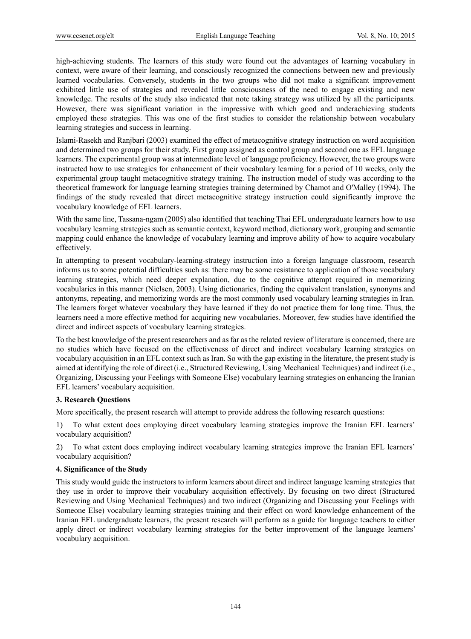high-achieving students. The learners of this study were found out the advantages of learning vocabulary in context, were aware of their learning, and consciously recognized the connections between new and previously learned vocabularies. Conversely, students in the two groups who did not make a significant improvement exhibited little use of strategies and revealed little consciousness of the need to engage existing and new knowledge. The results of the study also indicated that note taking strategy was utilized by all the participants. However, there was significant variation in the impressive with which good and underachieving students employed these strategies. This was one of the first studies to consider the relationship between vocabulary learning strategies and success in learning.

Islami-Rasekh and Ranjbari (2003) examined the effect of metacognitive strategy instruction on word acquisition and determined two groups for their study. First group assigned as control group and second one as EFL language learners. The experimental group was at intermediate level of language proficiency. However, the two groups were instructed how to use strategies for enhancement of their vocabulary learning for a period of 10 weeks, only the experimental group taught metacognitive strategy training. The instruction model of study was according to the theoretical framework for language learning strategies training determined by Chamot and O'Malley (1994). The findings of the study revealed that direct metacognitive strategy instruction could significantly improve the vocabulary knowledge of EFL learners.

With the same line, Tassana-ngam (2005) also identified that teaching Thai EFL undergraduate learners how to use vocabulary learning strategies such as semantic context, keyword method, dictionary work, grouping and semantic mapping could enhance the knowledge of vocabulary learning and improve ability of how to acquire vocabulary effectively.

In attempting to present vocabulary-learning-strategy instruction into a foreign language classroom, research informs us to some potential difficulties such as: there may be some resistance to application of those vocabulary learning strategies, which need deeper explanation, due to the cognitive attempt required in memorizing vocabularies in this manner (Nielsen, 2003). Using dictionaries, finding the equivalent translation, synonyms and antonyms, repeating, and memorizing words are the most commonly used vocabulary learning strategies in Iran. The learners forget whatever vocabulary they have learned if they do not practice them for long time. Thus, the learners need a more effective method for acquiring new vocabularies. Moreover, few studies have identified the direct and indirect aspects of vocabulary learning strategies.

To the best knowledge of the present researchers and as far as the related review of literature is concerned, there are no studies which have focused on the effectiveness of direct and indirect vocabulary learning strategies on vocabulary acquisition in an EFL context such as Iran. So with the gap existing in the literature, the present study is aimed at identifying the role of direct (i.e., Structured Reviewing, Using Mechanical Techniques) and indirect (i.e., Organizing, Discussing your Feelings with Someone Else) vocabulary learning strategies on enhancing the Iranian EFL learners' vocabulary acquisition.

## **3. Research Questions**

More specifically, the present research will attempt to provide address the following research questions:

1) To what extent does employing direct vocabulary learning strategies improve the Iranian EFL learners' vocabulary acquisition?

2) To what extent does employing indirect vocabulary learning strategies improve the Iranian EFL learners' vocabulary acquisition?

## **4. Significance of the Study**

This study would guide the instructors to inform learners about direct and indirect language learning strategies that they use in order to improve their vocabulary acquisition effectively. By focusing on two direct (Structured Reviewing and Using Mechanical Techniques) and two indirect (Organizing and Discussing your Feelings with Someone Else) vocabulary learning strategies training and their effect on word knowledge enhancement of the Iranian EFL undergraduate learners, the present research will perform as a guide for language teachers to either apply direct or indirect vocabulary learning strategies for the better improvement of the language learners' vocabulary acquisition.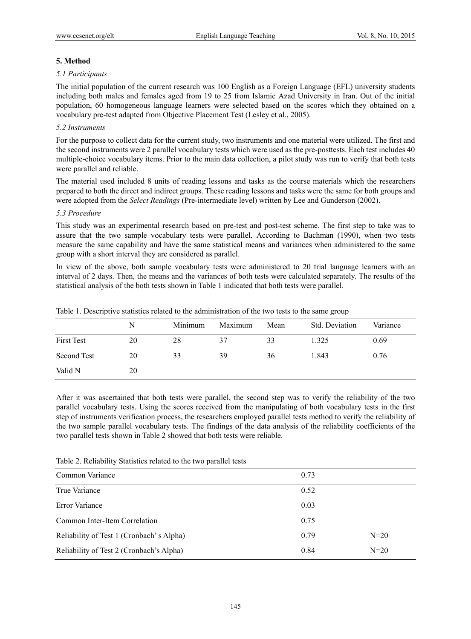## **5. Method**

#### *5.1 Participants*

The initial population of the current research was 100 English as a Foreign Language (EFL) university students including both males and females aged from 19 to 25 from Islamic Azad University in Iran. Out of the initial population, 60 homogeneous language learners were selected based on the scores which they obtained on a vocabulary pre-test adapted from Objective Placement Test (Lesley et al., 2005).

# *5.2 Instruments*

For the purpose to collect data for the current study, two instruments and one material were utilized. The first and the second instruments were 2 parallel vocabulary tests which were used as the pre-posttests. Each test includes 40 multiple-choice vocabulary items. Prior to the main data collection, a pilot study was run to verify that both tests were parallel and reliable.

The material used included 8 units of reading lessons and tasks as the course materials which the researchers prepared to both the direct and indirect groups. These reading lessons and tasks were the same for both groups and were adopted from the *Select Readings* (Pre-intermediate level) written by Lee and Gunderson (2002).

# *5.3 Procedure*

This study was an experimental research based on pre-test and post-test scheme. The first step to take was to assure that the two sample vocabulary tests were parallel. According to Bachman (1990), when two tests measure the same capability and have the same statistical means and variances when administered to the same group with a short interval they are considered as parallel.

In view of the above, both sample vocabulary tests were administered to 20 trial language learners with an interval of 2 days. Then, the means and the variances of both tests were calculated separately. The results of the statistical analysis of the both tests shown in Table 1 indicated that both tests were parallel.

|                    | N  | Minimum | Maximum | Mean | Std. Deviation | Variance |
|--------------------|----|---------|---------|------|----------------|----------|
| <b>First Test</b>  | 20 | 28      | 37      | 33   | 1.325          | 0.69     |
| <b>Second Test</b> | 20 | 33      | 39      | 36   | 1.843          | 0.76     |
| Valid N            | 20 |         |         |      |                |          |

Table 1. Descriptive statistics related to the administration of the two tests to the same group

After it was ascertained that both tests were parallel, the second step was to verify the reliability of the two parallel vocabulary tests. Using the scores received from the manipulating of both vocabulary tests in the first step of instruments verification process, the researchers employed parallel tests method to verify the reliability of the two sample parallel vocabulary tests. The findings of the data analysis of the reliability coefficients of the two parallel tests shown in Table 2 showed that both tests were reliable.

| Table 2. Reliability Statistics related to the two parallel tests |  |  |
|-------------------------------------------------------------------|--|--|
|                                                                   |  |  |

| Common Variance                          | 0.73 |        |
|------------------------------------------|------|--------|
| True Variance                            | 0.52 |        |
| Error Variance                           | 0.03 |        |
| Common Inter-Item Correlation            | 0.75 |        |
| Reliability of Test 1 (Cronbach's Alpha) | 0.79 | $N=20$ |
| Reliability of Test 2 (Cronbach's Alpha) | 0.84 | $N=20$ |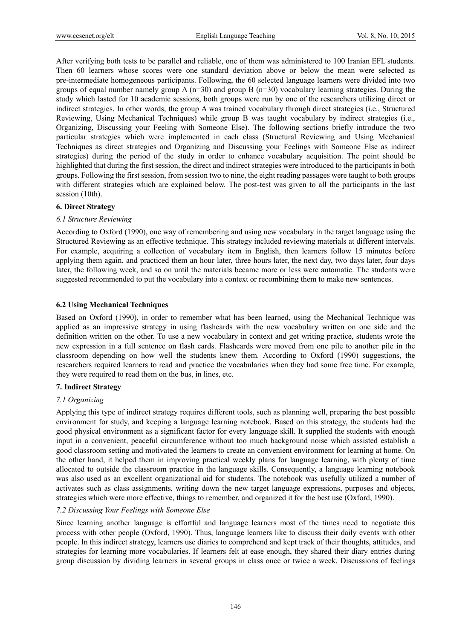After verifying both tests to be parallel and reliable, one of them was administered to 100 Iranian EFL students. Then 60 learners whose scores were one standard deviation above or below the mean were selected as pre-intermediate homogeneous participants. Following, the 60 selected language learners were divided into two groups of equal number namely group A ( $n=30$ ) and group B ( $n=30$ ) vocabulary learning strategies. During the study which lasted for 10 academic sessions, both groups were run by one of the researchers utilizing direct or indirect strategies. In other words, the group A was trained vocabulary through direct strategies (i.e., Structured Reviewing, Using Mechanical Techniques) while group B was taught vocabulary by indirect strategies (i.e., Organizing, Discussing your Feeling with Someone Else). The following sections briefly introduce the two particular strategies which were implemented in each class (Structural Reviewing and Using Mechanical Techniques as direct strategies and Organizing and Discussing your Feelings with Someone Else as indirect strategies) during the period of the study in order to enhance vocabulary acquisition. The point should be highlighted that during the first session, the direct and indirect strategies were introduced to the participants in both groups. Following the first session, from session two to nine, the eight reading passages were taught to both groups with different strategies which are explained below. The post-test was given to all the participants in the last session (10th).

#### **6. Direct Strategy**

#### *6.1 Structure Reviewing*

According to Oxford (1990), one way of remembering and using new vocabulary in the target language using the Structured Reviewing as an effective technique. This strategy included reviewing materials at different intervals. For example, acquiring a collection of vocabulary item in English, then learners follow 15 minutes before applying them again, and practiced them an hour later, three hours later, the next day, two days later, four days later, the following week, and so on until the materials became more or less were automatic. The students were suggested recommended to put the vocabulary into a context or recombining them to make new sentences.

#### **6.2 Using Mechanical Techniques**

Based on Oxford (1990), in order to remember what has been learned, using the Mechanical Technique was applied as an impressive strategy in using flashcards with the new vocabulary written on one side and the definition written on the other. To use a new vocabulary in context and get writing practice, students wrote the new expression in a full sentence on flash cards. Flashcards were moved from one pile to another pile in the classroom depending on how well the students knew them. According to Oxford (1990) suggestions, the researchers required learners to read and practice the vocabularies when they had some free time. For example, they were required to read them on the bus, in lines, etc.

# **7. Indirect Strategy**

## *7.1 Organizing*

Applying this type of indirect strategy requires different tools, such as planning well, preparing the best possible environment for study, and keeping a language learning notebook. Based on this strategy, the students had the good physical environment as a significant factor for every language skill. It supplied the students with enough input in a convenient, peaceful circumference without too much background noise which assisted establish a good classroom setting and motivated the learners to create an convenient environment for learning at home. On the other hand, it helped them in improving practical weekly plans for language learning, with plenty of time allocated to outside the classroom practice in the language skills. Consequently, a language learning notebook was also used as an excellent organizational aid for students. The notebook was usefully utilized a number of activates such as class assignments, writing down the new target language expressions, purposes and objects, strategies which were more effective, things to remember, and organized it for the best use (Oxford, 1990).

#### *7.2 Discussing Your Feelings with Someone Else*

Since learning another language is effortful and language learners most of the times need to negotiate this process with other people (Oxford, 1990). Thus, language learners like to discuss their daily events with other people. In this indirect strategy, learners use diaries to comprehend and kept track of their thoughts, attitudes, and strategies for learning more vocabularies. If learners felt at ease enough, they shared their diary entries during group discussion by dividing learners in several groups in class once or twice a week. Discussions of feelings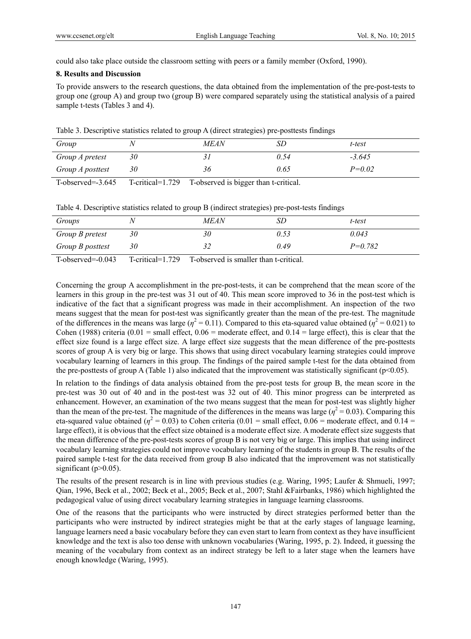could also take place outside the classroom setting with peers or a family member (Oxford, 1990).

#### **8. Results and Discussion**

To provide answers to the research questions, the data obtained from the implementation of the pre-post-tests to group one (group A) and group two (group B) were compared separately using the statistical analysis of a paired sample t-tests (Tables 3 and 4).

| Table 3. Descriptive statistics related to group A (direct strategies) pre-posttests findings |  |  |
|-----------------------------------------------------------------------------------------------|--|--|
|                                                                                               |  |  |

| Group                 | N                | <i>MEAN</i> | SD                                    | t-test     |  |
|-----------------------|------------------|-------------|---------------------------------------|------------|--|
| Group A pretest       | 30               |             | 0.54                                  | $-3.645$   |  |
| Group A posttest      | 30               | 30          | 0.65                                  | $P = 0.02$ |  |
| $T-observed = -3.645$ | T-critical=1.729 |             | T-observed is bigger than t-critical. |            |  |

|  |  |  |  |  |  | Table 4. Descriptive statistics related to group B (indirect strategies) pre-post-tests findings |
|--|--|--|--|--|--|--------------------------------------------------------------------------------------------------|
|--|--|--|--|--|--|--------------------------------------------------------------------------------------------------|

| Groups           | Ν      | <b>MEAN</b> | SD   | t-test    |
|------------------|--------|-------------|------|-----------|
| Group B pretest  | 30     | 30          | 0.53 | 0.043     |
| Group B posttest | 30     |             | 0.49 | $P=0.782$ |
| .                | __ ___ | .<br>___    |      |           |

T-observed=-0.043 T-critical=1.729 T-observed is smaller than t-critical.

Concerning the group A accomplishment in the pre-post-tests, it can be comprehend that the mean score of the learners in this group in the pre-test was 31 out of 40. This mean score improved to 36 in the post-test which is indicative of the fact that a significant progress was made in their accomplishment. An inspection of the two means suggest that the mean for post-test was significantly greater than the mean of the pre-test. The magnitude of the differences in the means was large ( $\eta^2$  = 0.11). Compared to this eta-squared value obtained ( $\eta^2$  = 0.021) to Cohen (1988) criteria (0.01 = small effect, 0.06 = moderate effect, and 0.14 = large effect), this is clear that the effect size found is a large effect size. A large effect size suggests that the mean difference of the pre-posttests scores of group A is very big or large. This shows that using direct vocabulary learning strategies could improve vocabulary learning of learners in this group. The findings of the paired sample t-test for the data obtained from the pre-posttests of group A (Table 1) also indicated that the improvement was statistically significant ( $p<0.05$ ).

In relation to the findings of data analysis obtained from the pre-post tests for group B, the mean score in the pre-test was 30 out of 40 and in the post-test was 32 out of 40. This minor progress can be interpreted as enhancement. However, an examination of the two means suggest that the mean for post-test was slightly higher than the mean of the pre-test. The magnitude of the differences in the means was large ( $\eta^2$  = 0.03). Comparing this eta-squared value obtained ( $\eta^2$  = 0.03) to Cohen criteria (0.01 = small effect, 0.06 = moderate effect, and 0.14 = large effect), it is obvious that the effect size obtained is a moderate effect size. A moderate effect size suggests that the mean difference of the pre-post-tests scores of group B is not very big or large. This implies that using indirect vocabulary learning strategies could not improve vocabulary learning of the students in group B. The results of the paired sample t-test for the data received from group B also indicated that the improvement was not statistically significant ( $p>0.05$ ).

The results of the present research is in line with previous studies (e.g. Waring, 1995; Laufer & Shmueli, 1997; Qian, 1996, Beck et al., 2002; Beck et al., 2005; Beck et al., 2007; Stahl &Fairbanks, 1986) which highlighted the pedagogical value of using direct vocabulary learning strategies in language learning classrooms.

One of the reasons that the participants who were instructed by direct strategies performed better than the participants who were instructed by indirect strategies might be that at the early stages of language learning, language learners need a basic vocabulary before they can even start to learn from context as they have insufficient knowledge and the text is also too dense with unknown vocabularies (Waring, 1995, p. 2). Indeed, it guessing the meaning of the vocabulary from context as an indirect strategy be left to a later stage when the learners have enough knowledge (Waring, 1995).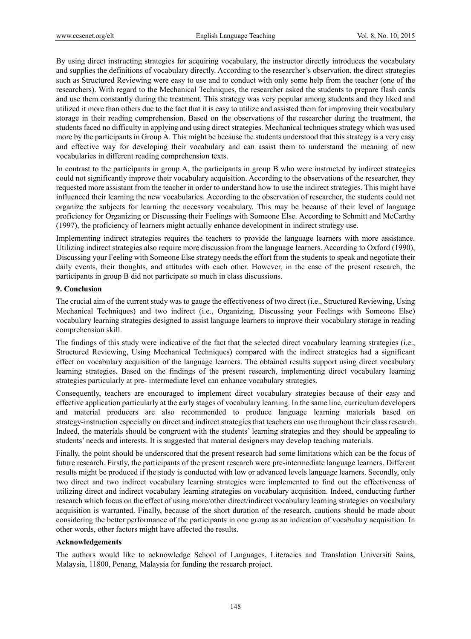By using direct instructing strategies for acquiring vocabulary, the instructor directly introduces the vocabulary and supplies the definitions of vocabulary directly. According to the researcher's observation, the direct strategies such as Structured Reviewing were easy to use and to conduct with only some help from the teacher (one of the researchers). With regard to the Mechanical Techniques, the researcher asked the students to prepare flash cards and use them constantly during the treatment. This strategy was very popular among students and they liked and utilized it more than others due to the fact that it is easy to utilize and assisted them for improving their vocabulary storage in their reading comprehension. Based on the observations of the researcher during the treatment, the students faced no difficulty in applying and using direct strategies. Mechanical techniques strategy which was used more by the participants in Group A. This might be because the students understood that this strategy is a very easy and effective way for developing their vocabulary and can assist them to understand the meaning of new vocabularies in different reading comprehension texts.

In contrast to the participants in group A, the participants in group B who were instructed by indirect strategies could not significantly improve their vocabulary acquisition. According to the observations of the researcher, they requested more assistant from the teacher in order to understand how to use the indirect strategies. This might have influenced their learning the new vocabularies. According to the observation of researcher, the students could not organize the subjects for learning the necessary vocabulary. This may be because of their level of language proficiency for Organizing or Discussing their Feelings with Someone Else. According to Schmitt and McCarthy (1997), the proficiency of learners might actually enhance development in indirect strategy use.

Implementing indirect strategies requires the teachers to provide the language learners with more assistance. Utilizing indirect strategies also require more discussion from the language learners. According to Oxford (1990), Discussing your Feeling with Someone Else strategy needs the effort from the students to speak and negotiate their daily events, their thoughts, and attitudes with each other. However, in the case of the present research, the participants in group B did not participate so much in class discussions.

#### **9. Conclusion**

The crucial aim of the current study was to gauge the effectiveness of two direct (i.e., Structured Reviewing, Using Mechanical Techniques) and two indirect (i.e., Organizing, Discussing your Feelings with Someone Else) vocabulary learning strategies designed to assist language learners to improve their vocabulary storage in reading comprehension skill.

The findings of this study were indicative of the fact that the selected direct vocabulary learning strategies (i.e., Structured Reviewing, Using Mechanical Techniques) compared with the indirect strategies had a significant effect on vocabulary acquisition of the language learners. The obtained results support using direct vocabulary learning strategies. Based on the findings of the present research, implementing direct vocabulary learning strategies particularly at pre- intermediate level can enhance vocabulary strategies.

Consequently, teachers are encouraged to implement direct vocabulary strategies because of their easy and effective application particularly at the early stages of vocabulary learning. In the same line, curriculum developers and material producers are also recommended to produce language learning materials based on strategy-instruction especially on direct and indirect strategies that teachers can use throughout their class research. Indeed, the materials should be congruent with the students' learning strategies and they should be appealing to students' needs and interests. It is suggested that material designers may develop teaching materials.

Finally, the point should be underscored that the present research had some limitations which can be the focus of future research. Firstly, the participants of the present research were pre-intermediate language learners. Different results might be produced if the study is conducted with low or advanced levels language learners. Secondly, only two direct and two indirect vocabulary learning strategies were implemented to find out the effectiveness of utilizing direct and indirect vocabulary learning strategies on vocabulary acquisition. Indeed, conducting further research which focus on the effect of using more/other direct/indirect vocabulary learning strategies on vocabulary acquisition is warranted. Finally, because of the short duration of the research, cautions should be made about considering the better performance of the participants in one group as an indication of vocabulary acquisition. In other words, other factors might have affected the results.

## **Acknowledgements**

The authors would like to acknowledge School of Languages, Literacies and Translation Universiti Sains, Malaysia, 11800, Penang, Malaysia for funding the research project.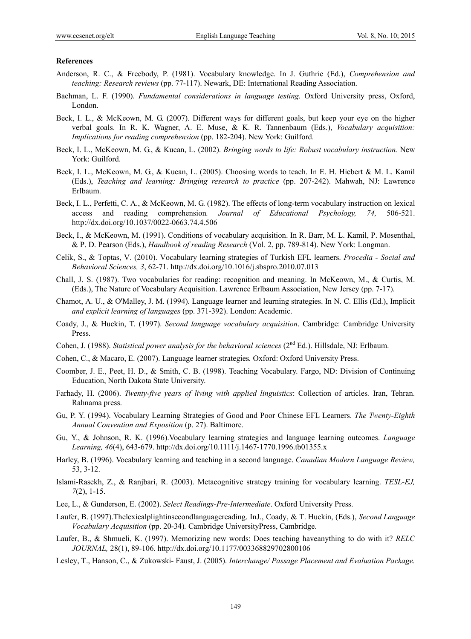#### **References**

- Anderson, R. C., & Freebody, P. (1981). Vocabulary knowledge. In J. Guthrie (Ed.), *Comprehension and teaching: Research reviews* (pp. 77-117). Newark, DE: International Reading Association.
- Bachman, L. F. (1990). *Fundamental considerations in language testing.* Oxford University press, Oxford, London.
- Beck, I. L., & McKeown, M. G. (2007). Different ways for different goals, but keep your eye on the higher verbal goals. In R. K. Wagner, A. E. Muse, & K. R. Tannenbaum (Eds.), *Vocabulary acquisition: Implications for reading comprehension (pp. 182-204). New York: Guilford.*
- Beck, I. L., McKeown, M. G., & Kucan, L. (2002). *Bringing words to life: Robust vocabulary instruction.* New York: Guilford.
- Beck, I. L., McKeown, M. G., & Kucan, L. (2005). Choosing words to teach. In E. H. Hiebert & M. L. Kamil (Eds.), *Teaching and learning: Bringing research to practice* (pp. 207-242). Mahwah, NJ: Lawrence Erlbaum.
- Beck, I. L., Perfetti, C. A., & McKeown, M. G. (1982). The effects of long-term vocabulary instruction on lexical access and reading comprehension*. Journal of Educational Psychology, 74,* 506-521. http://dx.doi.org/10.1037/0022-0663.74.4.506
- Beck, I., & McKeown, M. (1991). Conditions of vocabulary acquisition. In R. Barr, M. L. Kamil, P. Mosenthal, & P. D. Pearson (Eds.), *Handbook of reading Research* (Vol. 2, pp. 789-814). New York: Longman.
- Celik, S., & Toptas, V. (2010). Vocabulary learning strategies of Turkish EFL learners. *Procedia Social and Behavioral Sciences, 3*, 62-71. http://dx.doi.org/10.1016/j.sbspro.2010.07.013
- Chall, J. S. (1987). Two vocabularies for reading: recognition and meaning. In McKeown, M., & Curtis, M. (Eds.), The Nature of Vocabulary Acquisition. Lawrence Erlbaum Association, New Jersey (pp. 7-17).
- Chamot, A. U., & O'Malley, J. M. (1994). Language learner and learning strategies. In N. C. Ellis (Ed.), Implicit *and explicit learning of languages* (pp. 371-392). London: Academic.
- Coady, J., & Huckin, T. (1997). *Second language vocabulary acquisition*. Cambridge: Cambridge University Press.
- Cohen, J. (1988). *Statistical power analysis for the behavioral sciences* (2<sup>nd</sup> Ed.). Hillsdale, NJ: Erlbaum.
- Cohen, C., & Macaro, E. (2007). Language learner strategies*.* Oxford: Oxford University Press.
- Coomber, J. E., Peet, H. D., & Smith, C. B. (1998). Teaching Vocabulary. Fargo, ND: Division of Continuing Education, North Dakota State University.
- Farhady, H. (2006). *Twenty-five years of living with applied linguistics*: Collection of articles*.* Iran, Tehran. Rahnama press.
- Gu, P. Y. (1994). Vocabulary Learning Strategies of Good and Poor Chinese EFL Learners. *The Twenty-Eighth Annual Convention and Exposition* (p. 27). Baltimore.
- Gu, Y., & Johnson, R. K. (1996).Vocabulary learning strategies and language learning outcomes. *Language Learning, 46*(4), 643-679. http://dx.doi.org/10.1111/j.1467-1770.1996.tb01355.x
- Harley, B. (1996). Vocabulary learning and teaching in a second language. *Canadian Modern Language Review,* 53, 3-12.
- Islami-Rasekh, Z., & Ranjbari, R. (2003). Metacognitive strategy training for vocabulary learning. *TESL-EJ, 7*(2), 1-15.
- Lee, L., & Gunderson, E. (2002). *Select Readings-Pre-Intermediate*. Oxford University Press.
- Laufer, B. (1997).Thelexicalplightinsecondlanguagereading. InJ., Coady, & T. Huckin, (Eds.), *Second Language Vocabulary Acquisition* (pp. 20-34)*.* Cambridge UniversityPress, Cambridge.
- Laufer, B., & Shmueli, K. (1997). Memorizing new words: Does teaching haveanything to do with it? *RELC JOURNAL,* 28(1), 89-106. http://dx.doi.org/10.1177/003368829702800106
- Lesley, T., Hanson, C., & Zukowski- Faust, J. (2005). *Interchange/ Passage Placement and Evaluation Package.*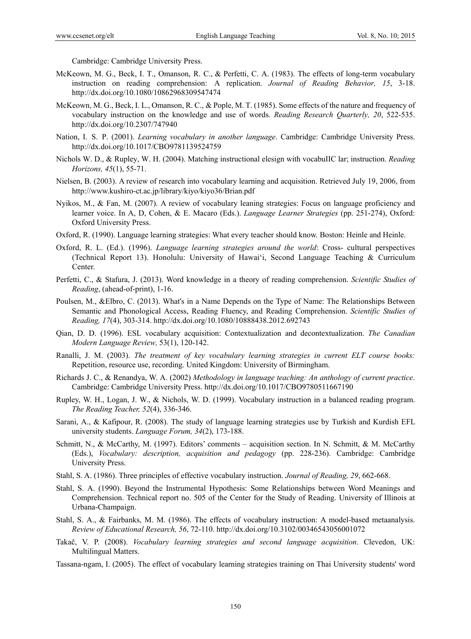Cambridge: Cambridge University Press.

- McKeown, M. G., Beck, I. T., Omanson, R. C., & Perfetti, C. A. (1983). The effects of long-term vocabulary instruction on reading comprehension: A replication. *Journal of Reading Behavior, 15*, 3-18. http://dx.doi.org/10.1080/10862968309547474
- McKeown, M. G., Beck, I. L., Omanson, R. C., & Pople, M. T. (1985). Some effects of the nature and frequency of vocabulary instruction on the knowledge and use of words. *Reading Research Quarterly, 20*, 522-535. http://dx.doi.org/10.2307/747940
- Nation, I. S. P. (2001). *Learning vocabulary in another language*. Cambridge: Cambridge University Press. http://dx.doi.org/10.1017/CBO9781139524759
- Nichols W. D., & Rupley, W. H. (2004). Matching instructional elesign with vocabuIIC lar; instruction. *Reading Horizons, 45*(1), 55-71.
- Nielsen, B. (2003). A review of research into vocabulary learning and acquisition. Retrieved July 19, 2006, from http://www.kushiro-ct.ac.jp/library/kiyo/kiyo36/Brian.pdf
- Nyikos, M., & Fan, M. (2007). A review of vocabulary leaning strategies: Focus on language proficiency and learner voice. In A, D, Cohen, & E. Macaro (Eds.). *Language Learner Strategies* (pp. 251-274), Oxford: Oxford University Press.
- Oxford, R. (1990). Language learning strategies: What every teacher should know. Boston: Heinle and Heinle.
- Oxford, R. L. (Ed.). (1996). *Language learning strategies around the world*: Cross- cultural perspectives (Technical Report 13). Honolulu: University of Hawai'i, Second Language Teaching & Curriculum Center.
- Perfetti, C., & Stafura, J. (2013). Word knowledge in a theory of reading comprehension. *Scientific Studies of Reading*, (ahead-of-print), 1-16.
- Poulsen, M., &Elbro, C. (2013). What's in a Name Depends on the Type of Name: The Relationships Between Semantic and Phonological Access, Reading Fluency, and Reading Comprehension. *Scientific Studies of Reading, 17*(4), 303-314. http://dx.doi.org/10.1080/10888438.2012.692743
- Qian, D. D. (1996). ESL vocabulary acquisition: Contextualization and decontextualization. *The Canadian Modern Language Review,* 53(1), 120-142.
- Ranalli, J. M. (2003). *The treatment of key vocabulary learning strategies in current ELT course books:* Repetition, resource use, recording. United Kingdom: University of Birmingham.
- Richards J. C., & Renandya, W. A. (2002) *Methodology in language teaching: An anthology of current practice*. Cambridge: Cambridge University Press. http://dx.doi.org/10.1017/CBO9780511667190
- Rupley, W. H., Logan, J. W., & Nichols, W. D. (1999). Vocabulary instruction in a balanced reading program. *The Reading Teacher, 52*(4), 336-346.
- Sarani, A., & Kafipour, R. (2008). The study of language learning strategies use by Turkish and Kurdish EFL university students. *Language Forum, 34*(2), 173-188.
- Schmitt, N., & McCarthy, M. (1997). Editors' comments acquisition section. In N. Schmitt, & M. McCarthy (Eds.), *Vocabulary: description, acquisition and pedagogy* (pp. 228-236). Cambridge: Cambridge University Press.
- Stahl, S. A. (1986). Three principles of effective vocabulary instruction. *Journal of Reading, 29*, 662-668.
- Stahl, S. A. (1990). Beyond the Instrumental Hypothesis: Some Relationships between Word Meanings and Comprehension. Technical report no. 505 of the Center for the Study of Reading. University of Illinois at Urbana-Champaign.
- Stahl, S. A., & Fairbanks, M. M. (1986). The effects of vocabulary instruction: A model-based metaanalysis. *Review of Educational Research, 56*, 72-110. http://dx.doi.org/10.3102/00346543056001072
- Takač, V. P. (2008). *Vocabulary learning strategies and second language acquisition*. Clevedon, UK: Multilingual Matters.
- Tassana-ngam, I. (2005). The effect of vocabulary learning strategies training on Thai University students' word